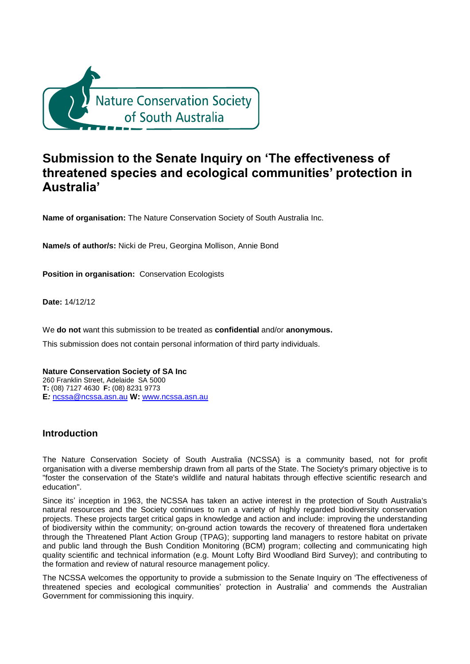

# **Submission to the Senate Inquiry on 'The effectiveness of threatened species and ecological communities' protection in Australia'**

**Name of organisation:** The Nature Conservation Society of South Australia Inc.

**Name/s of author/s:** Nicki de Preu, Georgina Mollison, Annie Bond

**Position in organisation:** Conservation Ecologists

**Date:** 14/12/12

We **do not** want this submission to be treated as **confidential** and/or **anonymous.**

This submission does not contain personal information of third party individuals.

**Nature Conservation Society of SA Inc** 260 Franklin Street, Adelaide SA 5000 **T:** (08) 7127 4630 **F:** (08) 8231 9773 **E***:* [ncssa@ncssa.asn.au](mailto:ncssa@ncssa.asn.au) **W:** [www.ncssa.asn.au](http://www.ncssa.asn.au/)

# **Introduction**

The Nature Conservation Society of South Australia (NCSSA) is a community based, not for profit organisation with a diverse membership drawn from all parts of the State. The Society's primary objective is to "foster the conservation of the State's wildlife and natural habitats through effective scientific research and education".

Since its' inception in 1963, the NCSSA has taken an active interest in the protection of South Australia's natural resources and the Society continues to run a variety of highly regarded biodiversity conservation projects. These projects target critical gaps in knowledge and action and include: improving the understanding of biodiversity within the community; on-ground action towards the recovery of threatened flora undertaken through the Threatened Plant Action Group (TPAG); supporting land managers to restore habitat on private and public land through the Bush Condition Monitoring (BCM) program; collecting and communicating high quality scientific and technical information (e.g. Mount Lofty Bird Woodland Bird Survey); and contributing to the formation and review of natural resource management policy.

The NCSSA welcomes the opportunity to provide a submission to the Senate Inquiry on 'The effectiveness of threatened species and ecological communities' protection in Australia' and commends the Australian Government for commissioning this inquiry.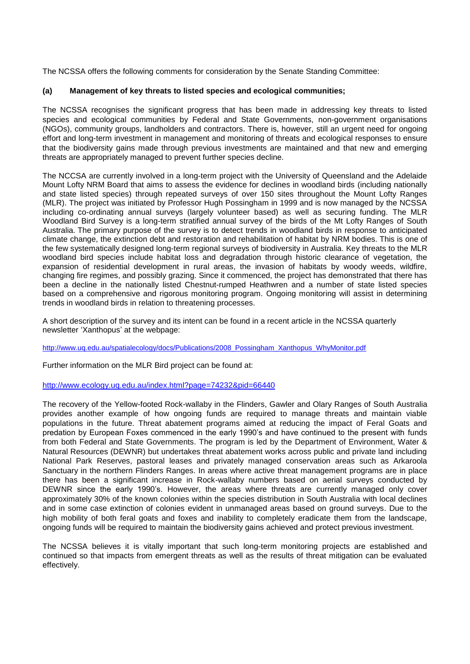The NCSSA offers the following comments for consideration by the Senate Standing Committee:

# **(a) Management of key threats to listed species and ecological communities;**

The NCSSA recognises the significant progress that has been made in addressing key threats to listed species and ecological communities by Federal and State Governments, non-government organisations (NGOs), community groups, landholders and contractors. There is, however, still an urgent need for ongoing effort and long-term investment in management and monitoring of threats and ecological responses to ensure that the biodiversity gains made through previous investments are maintained and that new and emerging threats are appropriately managed to prevent further species decline.

The NCCSA are currently involved in a long-term project with the University of Queensland and the Adelaide Mount Lofty NRM Board that aims to assess the evidence for declines in woodland birds (including nationally and state listed species) through repeated surveys of over 150 sites throughout the Mount Lofty Ranges (MLR). The project was initiated by Professor Hugh Possingham in 1999 and is now managed by the NCSSA including co-ordinating annual surveys (largely volunteer based) as well as securing funding. The MLR Woodland Bird Survey is a long-term stratified annual survey of the birds of the Mt Lofty Ranges of South Australia. The primary purpose of the survey is to detect trends in woodland birds in response to anticipated climate change, the extinction debt and restoration and rehabilitation of habitat by NRM bodies. This is one of the few systematically designed long-term regional surveys of biodiversity in Australia. Key threats to the MLR woodland bird species include habitat loss and degradation through historic clearance of vegetation, the expansion of residential development in rural areas, the invasion of habitats by woody weeds, wildfire, changing fire regimes, and possibly grazing. Since it commenced, the project has demonstrated that there has been a decline in the nationally listed Chestnut-rumped Heathwren and a number of state listed species based on a comprehensive and rigorous monitoring program. Ongoing monitoring will assist in determining trends in woodland birds in relation to threatening processes.

A short description of the survey and its intent can be found in a recent article in the NCSSA quarterly newsletter 'Xanthopus' at the webpage:

[http://www.uq.edu.au/spatialecology/docs/Publications/2008\\_Possingham\\_Xanthopus\\_WhyMonitor.pdf](http://www.uq.edu.au/spatialecology/docs/Publications/2008_Possingham_Xanthopus_WhyMonitor.pdf)

Further information on the MLR Bird project can be found at:

#### <http://www.ecology.uq.edu.au/index.html?page=74232&pid=66440>

The recovery of the Yellow-footed Rock-wallaby in the Flinders, Gawler and Olary Ranges of South Australia provides another example of how ongoing funds are required to manage threats and maintain viable populations in the future. Threat abatement programs aimed at reducing the impact of Feral Goats and predation by European Foxes commenced in the early 1990's and have continued to the present with funds from both Federal and State Governments. The program is led by the Department of Environment, Water & Natural Resources (DEWNR) but undertakes threat abatement works across public and private land including National Park Reserves, pastoral leases and privately managed conservation areas such as Arkaroola Sanctuary in the northern Flinders Ranges. In areas where active threat management programs are in place there has been a significant increase in Rock-wallaby numbers based on aerial surveys conducted by DEWNR since the early 1990's. However, the areas where threats are currently managed only cover approximately 30% of the known colonies within the species distribution in South Australia with local declines and in some case extinction of colonies evident in unmanaged areas based on ground surveys. Due to the high mobility of both feral goats and foxes and inability to completely eradicate them from the landscape. ongoing funds will be required to maintain the biodiversity gains achieved and protect previous investment.

The NCSSA believes it is vitally important that such long-term monitoring projects are established and continued so that impacts from emergent threats as well as the results of threat mitigation can be evaluated effectively.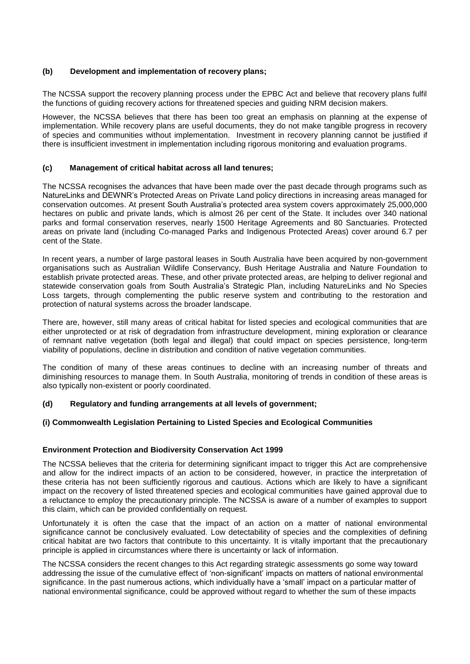# **(b) Development and implementation of recovery plans;**

The NCSSA support the recovery planning process under the EPBC Act and believe that recovery plans fulfil the functions of guiding recovery actions for threatened species and guiding NRM decision makers.

However, the NCSSA believes that there has been too great an emphasis on planning at the expense of implementation. While recovery plans are useful documents, they do not make tangible progress in recovery of species and communities without implementation. Investment in recovery planning cannot be justified if there is insufficient investment in implementation including rigorous monitoring and evaluation programs.

## **(c) Management of critical habitat across all land tenures;**

The NCSSA recognises the advances that have been made over the past decade through programs such as NatureLinks and DEWNR's Protected Areas on Private Land policy directions in increasing areas managed for conservation outcomes. At present South Australia's protected area system covers approximately 25,000,000 hectares on public and private lands, which is almost 26 per cent of the State. It includes over 340 national parks and formal conservation reserves, nearly 1500 Heritage Agreements and 80 Sanctuaries. Protected areas on private land (including Co-managed Parks and Indigenous Protected Areas) cover around 6.7 per cent of the State.

In recent years, a number of large pastoral leases in South Australia have been acquired by non-government organisations such as Australian Wildlife Conservancy, Bush Heritage Australia and Nature Foundation to establish private protected areas. These, and other private protected areas, are helping to deliver regional and statewide conservation goals from South Australia's Strategic Plan, including NatureLinks and No Species Loss targets, through complementing the public reserve system and contributing to the restoration and protection of natural systems across the broader landscape.

There are, however, still many areas of critical habitat for listed species and ecological communities that are either unprotected or at risk of degradation from infrastructure development, mining exploration or clearance of remnant native vegetation (both legal and illegal) that could impact on species persistence, long-term viability of populations, decline in distribution and condition of native vegetation communities.

The condition of many of these areas continues to decline with an increasing number of threats and diminishing resources to manage them. In South Australia, monitoring of trends in condition of these areas is also typically non-existent or poorly coordinated.

# **(d) Regulatory and funding arrangements at all levels of government;**

#### **(i) Commonwealth Legislation Pertaining to Listed Species and Ecological Communities**

#### **Environment Protection and Biodiversity Conservation Act 1999**

The NCSSA believes that the criteria for determining significant impact to trigger this Act are comprehensive and allow for the indirect impacts of an action to be considered, however, in practice the interpretation of these criteria has not been sufficiently rigorous and cautious. Actions which are likely to have a significant impact on the recovery of listed threatened species and ecological communities have gained approval due to a reluctance to employ the precautionary principle. The NCSSA is aware of a number of examples to support this claim, which can be provided confidentially on request.

Unfortunately it is often the case that the impact of an action on a matter of national environmental significance cannot be conclusively evaluated. Low detectability of species and the complexities of defining critical habitat are two factors that contribute to this uncertainty. It is vitally important that the precautionary principle is applied in circumstances where there is uncertainty or lack of information.

The NCSSA considers the recent changes to this Act regarding strategic assessments go some way toward addressing the issue of the cumulative effect of 'non-significant' impacts on matters of national environmental significance. In the past numerous actions, which individually have a 'small' impact on a particular matter of national environmental significance, could be approved without regard to whether the sum of these impacts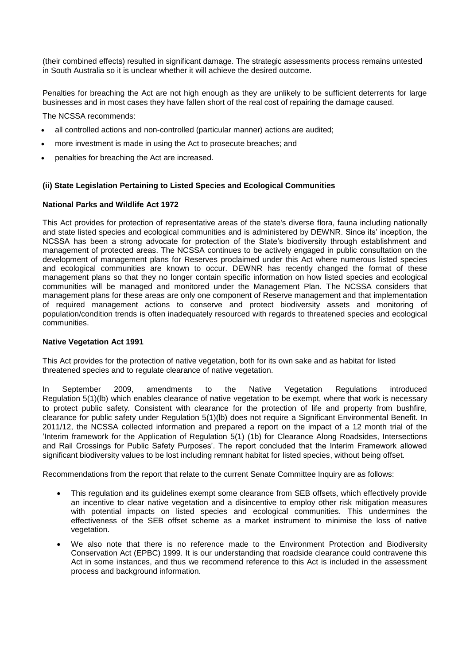(their combined effects) resulted in significant damage. The strategic assessments process remains untested in South Australia so it is unclear whether it will achieve the desired outcome.

Penalties for breaching the Act are not high enough as they are unlikely to be sufficient deterrents for large businesses and in most cases they have fallen short of the real cost of repairing the damage caused.

The NCSSA recommends:

- all controlled actions and non-controlled (particular manner) actions are audited;
- more investment is made in using the Act to prosecute breaches; and
- penalties for breaching the Act are increased.

## **(ii) State Legislation Pertaining to Listed Species and Ecological Communities**

## **National Parks and Wildlife Act 1972**

This Act provides for protection of representative areas of the state's diverse flora, fauna including nationally and state listed species and ecological communities and is administered by DEWNR. Since its' inception, the NCSSA has been a strong advocate for protection of the State's biodiversity through establishment and management of protected areas. The NCSSA continues to be actively engaged in public consultation on the development of management plans for Reserves proclaimed under this Act where numerous listed species and ecological communities are known to occur. DEWNR has recently changed the format of these management plans so that they no longer contain specific information on how listed species and ecological communities will be managed and monitored under the Management Plan. The NCSSA considers that management plans for these areas are only one component of Reserve management and that implementation of required management actions to conserve and protect biodiversity assets and monitoring of population/condition trends is often inadequately resourced with regards to threatened species and ecological communities.

## **Native Vegetation Act 1991**

This Act provides for the protection of native vegetation, both for its own sake and as habitat for listed threatened species and to regulate clearance of native vegetation.

In September 2009, amendments to the Native Vegetation Regulations introduced Regulation 5(1)(lb) which enables clearance of native vegetation to be exempt, where that work is necessary to protect public safety. Consistent with clearance for the protection of life and property from bushfire, clearance for public safety under Regulation 5(1)(lb) does not require a Significant Environmental Benefit. In 2011/12, the NCSSA collected information and prepared a report on the impact of a 12 month trial of the 'Interim framework for the Application of Regulation 5(1) (1b) for Clearance Along Roadsides, Intersections and Rail Crossings for Public Safety Purposes'. The report concluded that the Interim Framework allowed significant biodiversity values to be lost including remnant habitat for listed species, without being offset.

Recommendations from the report that relate to the current Senate Committee Inquiry are as follows:

- This regulation and its guidelines exempt some clearance from SEB offsets, which effectively provide an incentive to clear native vegetation and a disincentive to employ other risk mitigation measures with potential impacts on listed species and ecological communities. This undermines the effectiveness of the SEB offset scheme as a market instrument to minimise the loss of native vegetation.
- We also note that there is no reference made to the Environment Protection and Biodiversity Conservation Act (EPBC) 1999. It is our understanding that roadside clearance could contravene this Act in some instances, and thus we recommend reference to this Act is included in the assessment process and background information.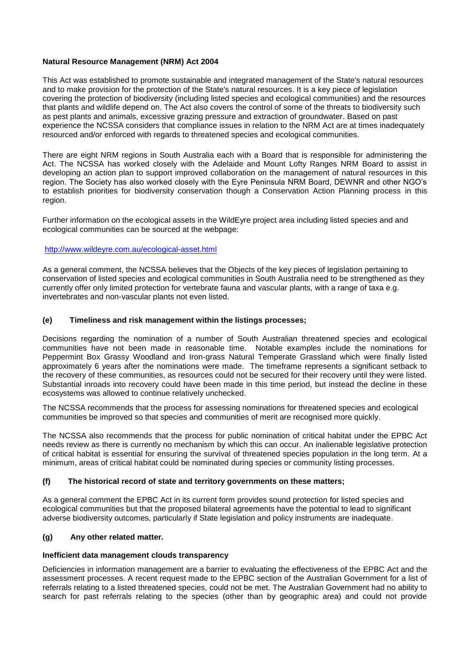# **Natural Resource Management (NRM) Act 2004**

This Act was established to promote sustainable and integrated management of the State's natural resources and to make provision for the protection of the State's natural resources. It is a key piece of legislation covering the protection of biodiversity (including listed species and ecological communities) and the resources that plants and wildlife depend on. The Act also covers the control of some of the threats to biodiversity such as pest plants and animals, excessive grazing pressure and extraction of groundwater. Based on past experience the NCSSA considers that compliance issues in relation to the NRM Act are at times inadequately resourced and/or enforced with regards to threatened species and ecological communities.

There are eight NRM regions in South Australia each with a Board that is responsible for administering the Act. The NCSSA has worked closely with the Adelaide and Mount Lofty Ranges NRM Board to assist in developing an action plan to support improved collaboration on the management of natural resources in this region. The Society has also worked closely with the Eyre Peninsula NRM Board, DEWNR and other NGO's to establish priorities for biodiversity conservation though a Conservation Action Planning process in this region.

Further information on the ecological assets in the WildEyre project area including listed species and and ecological communities can be sourced at the webpage:

#### <http://www.wildeyre.com.au/ecological-asset.html>

As a general comment, the NCSSA believes that the Objects of the key pieces of legislation pertaining to conservation of listed species and ecological communities in South Australia need to be strengthened as they currently offer only limited protection for vertebrate fauna and vascular plants, with a range of taxa e.g. invertebrates and non-vascular plants not even listed.

## **(e) Timeliness and risk management within the listings processes;**

Decisions regarding the nomination of a number of South Australian threatened species and ecological communities have not been made in reasonable time. Notable examples include the nominations for Peppermint Box Grassy Woodland and Iron-grass Natural Temperate Grassland which were finally listed approximately 6 years after the nominations were made. The timeframe represents a significant setback to the recovery of these communities, as resources could not be secured for their recovery until they were listed. Substantial inroads into recovery could have been made in this time period, but instead the decline in these ecosystems was allowed to continue relatively unchecked.

The NCSSA recommends that the process for assessing nominations for threatened species and ecological communities be improved so that species and communities of merit are recognised more quickly.

The NCSSA also recommends that the process for public nomination of critical habitat under the EPBC Act needs review as there is currently no mechanism by which this can occur. An inalienable legislative protection of critical habitat is essential for ensuring the survival of threatened species population in the long term. At a minimum, areas of critical habitat could be nominated during species or community listing processes.

# **(f) The historical record of state and territory governments on these matters;**

As a general comment the EPBC Act in its current form provides sound protection for listed species and ecological communities but that the proposed bilateral agreements have the potential to lead to significant adverse biodiversity outcomes, particularly if State legislation and policy instruments are inadequate.

# **(g) Any other related matter.**

#### **Inefficient data management clouds transparency**

Deficiencies in information management are a barrier to evaluating the effectiveness of the EPBC Act and the assessment processes. A recent request made to the EPBC section of the Australian Government for a list of referrals relating to a listed threatened species, could not be met. The Australian Government had no ability to search for past referrals relating to the species (other than by geographic area) and could not provide